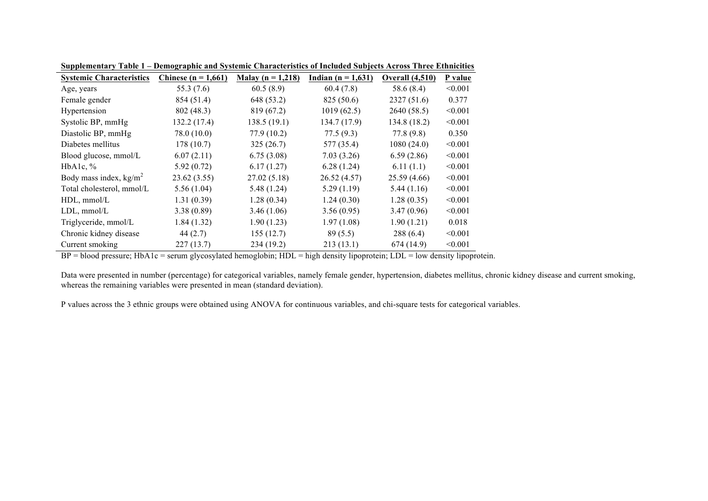| <b>Systemic Characteristics</b> | Chinese ( $n = 1,661$ ) | Malay ( $n = 1,218$ ) | Indian $(n = 1,631)$ | <b>Overall (4,510)</b> | P value |
|---------------------------------|-------------------------|-----------------------|----------------------|------------------------|---------|
| Age, years                      | 55.3 (7.6)              | 60.5(8.9)             | 60.4(7.8)            | 58.6 (8.4)             | < 0.001 |
| Female gender                   | 854 (51.4)              | 648 (53.2)            | 825 (50.6)           | 2327(51.6)             | 0.377   |
| Hypertension                    | 802 (48.3)              | 819 (67.2)            | 1019(62.5)           | 2640 (58.5)            | < 0.001 |
| Systolic BP, mmHg               | 132.2(17.4)             | 138.5(19.1)           | 134.7 (17.9)         | 134.8 (18.2)           | < 0.001 |
| Diastolic BP, mmHg              | 78.0 (10.0)             | 77.9 (10.2)           | 77.5(9.3)            | 77.8(9.8)              | 0.350   |
| Diabetes mellitus               | 178(10.7)               | 325(26.7)             | 577 (35.4)           | 1080(24.0)             | < 0.001 |
| Blood glucose, mmol/L           | 6.07(2.11)              | 6.75(3.08)            | 7.03(3.26)           | 6.59(2.86)             | < 0.001 |
| HbA1c, $\%$                     | 5.92(0.72)              | 6.17(1.27)            | 6.28(1.24)           | 6.11(1.1)              | < 0.001 |
| Body mass index, $kg/m2$        | 23.62 (3.55)            | 27.02(5.18)           | 26.52(4.57)          | 25.59(4.66)            | < 0.001 |
| Total cholesterol, mmol/L       | 5.56(1.04)              | 5.48(1.24)            | 5.29(1.19)           | 5.44(1.16)             | < 0.001 |
| $HDL$ , mmol/ $L$               | 1.31(0.39)              | 1.28(0.34)            | 1.24(0.30)           | 1.28(0.35)             | < 0.001 |
| $LDL$ , mmol/ $L$               | 3.38(0.89)              | 3.46(1.06)            | 3.56(0.95)           | 3.47(0.96)             | < 0.001 |
| Triglyceride, mmol/L            | 1.84(1.32)              | 1.90(1.23)            | 1.97(1.08)           | 1.90(1.21)             | 0.018   |
| Chronic kidney disease          | 44(2.7)                 | 155(12.7)             | 89(5.5)              | 288(6.4)               | < 0.001 |
| Current smoking                 | 227(13.7)               | 234 (19.2)            | 213(13.1)            | 674(14.9)              | < 0.001 |

**Supplementary Table 1 – Demographic and Systemic Characteristics of Included Subjects Across Three Ethnicities**

 $BP = blood pressure$ ;  $HbA1c = serum$  glycosylated hemoglobin;  $HDL = high$  density lipoprotein;  $LDL = low$  density lipoprotein.

Data were presented in number (percentage) for categorical variables, namely female gender, hypertension, diabetes mellitus, chronic kidney disease and current smoking, whereas the remaining variables were presented in mean (standard deviation).

P values across the 3 ethnic groups were obtained using ANOVA for continuous variables, and chi-square tests for categorical variables.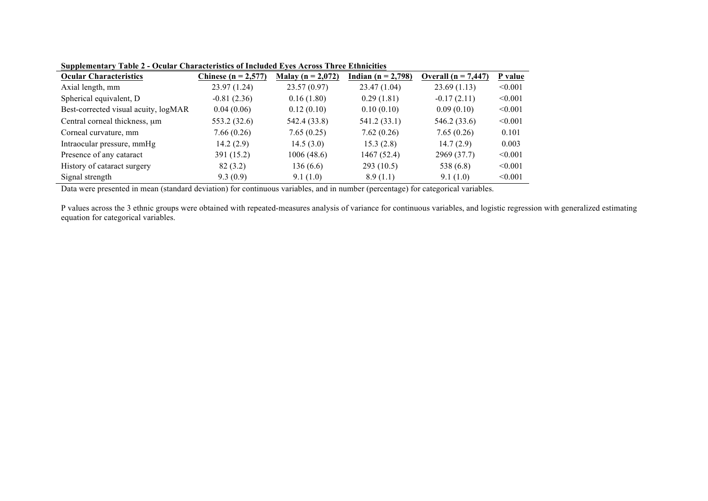| <b>Ocular Characteristics</b>        | Chinese ( $n = 2,577$ ) | Malay ( $n = 2,072$ ) | Indian $(n = 2,798)$ | Overall $(n = 7,447)$ | P value |
|--------------------------------------|-------------------------|-----------------------|----------------------|-----------------------|---------|
| Axial length, mm                     | 23.97(1.24)             | 23.57(0.97)           | 23.47(1.04)          | 23.69(1.13)           | < 0.001 |
| Spherical equivalent, D              | $-0.81(2.36)$           | 0.16(1.80)            | 0.29(1.81)           | $-0.17(2.11)$         | < 0.001 |
| Best-corrected visual acuity, logMAR | 0.04(0.06)              | 0.12(0.10)            | 0.10(0.10)           | 0.09(0.10)            | < 0.001 |
| Central corneal thickness, um        | 553.2 (32.6)            | 542.4 (33.8)          | 541.2 (33.1)         | 546.2 (33.6)          | < 0.001 |
| Corneal curvature, mm                | 7.66(0.26)              | 7.65(0.25)            | 7.62(0.26)           | 7.65(0.26)            | 0.101   |
| Intraocular pressure, mmHg           | 14.2(2.9)               | 14.5(3.0)             | 15.3(2.8)            | 14.7(2.9)             | 0.003   |
| Presence of any cataract             | 391 (15.2)              | 1006(48.6)            | 1467 (52.4)          | 2969 (37.7)           | < 0.001 |
| History of cataract surgery          | 82 (3.2)                | 136(6.6)              | 293(10.5)            | 538 (6.8)             | < 0.001 |
| Signal strength                      | 9.3(0.9)                | 9.1(1.0)              | 8.9(1.1)             | 9.1(1.0)              | < 0.001 |

**Supplementary Table 2 - Ocular Characteristics of Included Eyes Across Three Ethnicities**

Data were presented in mean (standard deviation) for continuous variables, and in number (percentage) for categorical variables.

P values across the 3 ethnic groups were obtained with repeated-measures analysis of variance for continuous variables, and logistic regression with generalized estimating equation for categorical variables.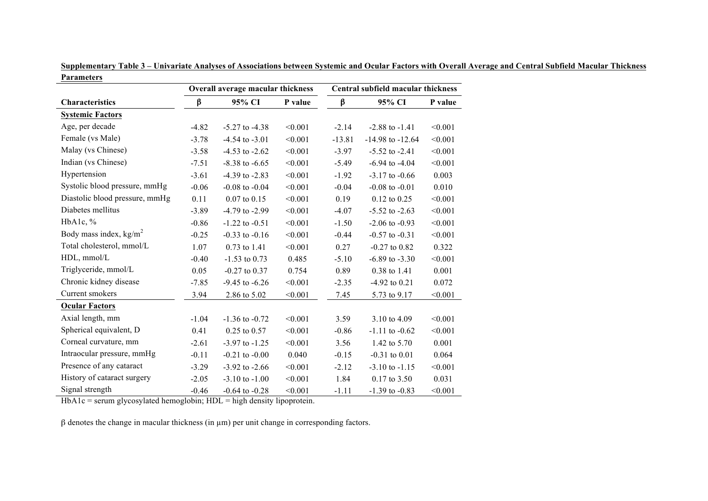|                                | Overall average macular thickness |                    |         | Central subfield macular thickness |                      |         |  |
|--------------------------------|-----------------------------------|--------------------|---------|------------------------------------|----------------------|---------|--|
| Characteristics                | β                                 | 95% CI             | P value | β                                  | 95% CI               | P value |  |
| <b>Systemic Factors</b>        |                                   |                    |         |                                    |                      |         |  |
| Age, per decade                | $-4.82$                           | $-5.27$ to $-4.38$ | < 0.001 | $-2.14$                            | $-2.88$ to $-1.41$   | < 0.001 |  |
| Female (vs Male)               | $-3.78$                           | $-4.54$ to $-3.01$ | < 0.001 | $-13.81$                           | $-14.98$ to $-12.64$ | < 0.001 |  |
| Malay (vs Chinese)             | $-3.58$                           | $-4.53$ to $-2.62$ | < 0.001 | $-3.97$                            | $-5.52$ to $-2.41$   | < 0.001 |  |
| Indian (vs Chinese)            | $-7.51$                           | $-8.38$ to $-6.65$ | < 0.001 | $-5.49$                            | $-6.94$ to $-4.04$   | < 0.001 |  |
| Hypertension                   | $-3.61$                           | $-4.39$ to $-2.83$ | < 0.001 | $-1.92$                            | $-3.17$ to $-0.66$   | 0.003   |  |
| Systolic blood pressure, mmHg  | $-0.06$                           | $-0.08$ to $-0.04$ | < 0.001 | $-0.04$                            | $-0.08$ to $-0.01$   | 0.010   |  |
| Diastolic blood pressure, mmHg | 0.11                              | $0.07$ to $0.15$   | < 0.001 | 0.19                               | $0.12$ to $0.25$     | < 0.001 |  |
| Diabetes mellitus              | $-3.89$                           | $-4.79$ to $-2.99$ | < 0.001 | $-4.07$                            | $-5.52$ to $-2.63$   | < 0.001 |  |
| HbA1c, $%$                     | $-0.86$                           | $-1.22$ to $-0.51$ | < 0.001 | $-1.50$                            | $-2.06$ to $-0.93$   | < 0.001 |  |
| Body mass index, $kg/m2$       | $-0.25$                           | $-0.33$ to $-0.16$ | < 0.001 | $-0.44$                            | $-0.57$ to $-0.31$   | < 0.001 |  |
| Total cholesterol, mmol/L      | 1.07                              | 0.73 to 1.41       | < 0.001 | 0.27                               | $-0.27$ to $0.82$    | 0.322   |  |
| HDL, mmol/L                    | $-0.40$                           | $-1.53$ to 0.73    | 0.485   | $-5.10$                            | $-6.89$ to $-3.30$   | < 0.001 |  |
| Triglyceride, mmol/L           | 0.05                              | $-0.27$ to 0.37    | 0.754   | 0.89                               | 0.38 to 1.41         | 0.001   |  |
| Chronic kidney disease         | $-7.85$                           | $-9.45$ to $-6.26$ | < 0.001 | $-2.35$                            | $-4.92$ to 0.21      | 0.072   |  |
| Current smokers                | 3.94                              | 2.86 to 5.02       | < 0.001 | 7.45                               | 5.73 to 9.17         | < 0.001 |  |
| <b>Ocular Factors</b>          |                                   |                    |         |                                    |                      |         |  |
| Axial length, mm               | $-1.04$                           | $-1.36$ to $-0.72$ | < 0.001 | 3.59                               | 3.10 to 4.09         | < 0.001 |  |
| Spherical equivalent, D        | 0.41                              | $0.25$ to $0.57$   | < 0.001 | $-0.86$                            | $-1.11$ to $-0.62$   | < 0.001 |  |
| Corneal curvature, mm          | $-2.61$                           | $-3.97$ to $-1.25$ | < 0.001 | 3.56                               | 1.42 to 5.70         | 0.001   |  |
| Intraocular pressure, mmHg     | $-0.11$                           | $-0.21$ to $-0.00$ | 0.040   | $-0.15$                            | $-0.31$ to $0.01$    | 0.064   |  |
| Presence of any cataract       | $-3.29$                           | $-3.92$ to $-2.66$ | < 0.001 | $-2.12$                            | $-3.10$ to $-1.15$   | < 0.001 |  |
| History of cataract surgery    | $-2.05$                           | $-3.10$ to $-1.00$ | < 0.001 | 1.84                               | 0.17 to 3.50         | 0.031   |  |
| Signal strength                | $-0.46$                           | $-0.64$ to $-0.28$ | < 0.001 | $-1.11$                            | $-1.39$ to $-0.83$   | < 0.001 |  |

**Supplementary Table 3 – Univariate Analyses of Associations between Systemic and Ocular Factors with Overall Average and Central Subfield Macular Thickness Parameters**

HbA1c = serum glycosylated hemoglobin; HDL = high density lipoprotein.

β denotes the change in macular thickness (in µm) per unit change in corresponding factors.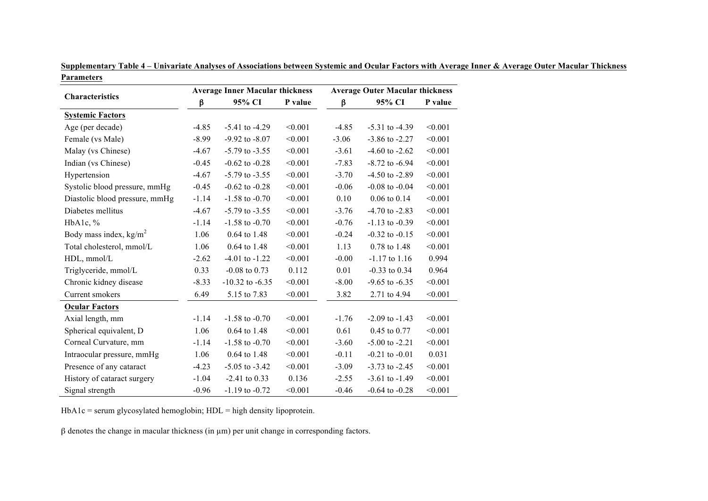|                                |         | <b>Average Inner Macular thickness</b> |         |         | <b>Average Outer Macular thickness</b> |         |
|--------------------------------|---------|----------------------------------------|---------|---------|----------------------------------------|---------|
| <b>Characteristics</b>         | β       | 95% CI                                 | P value | β       | 95% CI                                 | P value |
| <b>Systemic Factors</b>        |         |                                        |         |         |                                        |         |
| Age (per decade)               | $-4.85$ | $-5.41$ to $-4.29$                     | < 0.001 | $-4.85$ | $-5.31$ to $-4.39$                     | < 0.001 |
| Female (vs Male)               | $-8.99$ | $-9.92$ to $-8.07$                     | < 0.001 | $-3.06$ | $-3.86$ to $-2.27$                     | < 0.001 |
| Malay (vs Chinese)             | $-4.67$ | $-5.79$ to $-3.55$                     | < 0.001 | $-3.61$ | $-4.60$ to $-2.62$                     | < 0.001 |
| Indian (vs Chinese)            | $-0.45$ | $-0.62$ to $-0.28$                     | < 0.001 | $-7.83$ | $-8.72$ to $-6.94$                     | < 0.001 |
| Hypertension                   | $-4.67$ | $-5.79$ to $-3.55$                     | < 0.001 | $-3.70$ | $-4.50$ to $-2.89$                     | < 0.001 |
| Systolic blood pressure, mmHg  | $-0.45$ | $-0.62$ to $-0.28$                     | < 0.001 | $-0.06$ | $-0.08$ to $-0.04$                     | < 0.001 |
| Diastolic blood pressure, mmHg | $-1.14$ | $-1.58$ to $-0.70$                     | < 0.001 | 0.10    | $0.06$ to $0.14$                       | < 0.001 |
| Diabetes mellitus              | $-4.67$ | $-5.79$ to $-3.55$                     | < 0.001 | $-3.76$ | $-4.70$ to $-2.83$                     | < 0.001 |
| HbA1c, %                       | $-1.14$ | $-1.58$ to $-0.70$                     | < 0.001 | $-0.76$ | $-1.13$ to $-0.39$                     | < 0.001 |
| Body mass index, $kg/m2$       | 1.06    | 0.64 to 1.48                           | < 0.001 | $-0.24$ | $-0.32$ to $-0.15$                     | < 0.001 |
| Total cholesterol, mmol/L      | 1.06    | $0.64$ to 1.48                         | < 0.001 | 1.13    | 0.78 to 1.48                           | < 0.001 |
| HDL, mmol/L                    | $-2.62$ | $-4.01$ to $-1.22$                     | < 0.001 | $-0.00$ | $-1.17$ to $1.16$                      | 0.994   |
| Triglyceride, mmol/L           | 0.33    | $-0.08$ to 0.73                        | 0.112   | 0.01    | $-0.33$ to 0.34                        | 0.964   |
| Chronic kidney disease         | $-8.33$ | $-10.32$ to $-6.35$                    | < 0.001 | $-8.00$ | $-9.65$ to $-6.35$                     | < 0.001 |
| Current smokers                | 6.49    | 5.15 to 7.83                           | < 0.001 | 3.82    | 2.71 to 4.94                           | < 0.001 |
| <b>Ocular Factors</b>          |         |                                        |         |         |                                        |         |
| Axial length, mm               | $-1.14$ | $-1.58$ to $-0.70$                     | < 0.001 | $-1.76$ | $-2.09$ to $-1.43$                     | < 0.001 |
| Spherical equivalent, D        | 1.06    | 0.64 to 1.48                           | < 0.001 | 0.61    | 0.45 to 0.77                           | < 0.001 |
| Corneal Curvature, mm          | $-1.14$ | $-1.58$ to $-0.70$                     | < 0.001 | $-3.60$ | $-5.00$ to $-2.21$                     | < 0.001 |
| Intraocular pressure, mmHg     | 1.06    | 0.64 to 1.48                           | < 0.001 | $-0.11$ | $-0.21$ to $-0.01$                     | 0.031   |
| Presence of any cataract       | $-4.23$ | $-5.05$ to $-3.42$                     | < 0.001 | $-3.09$ | $-3.73$ to $-2.45$                     | < 0.001 |
| History of cataract surgery    | $-1.04$ | $-2.41$ to 0.33                        | 0.136   | $-2.55$ | $-3.61$ to $-1.49$                     | < 0.001 |
| Signal strength                | $-0.96$ | $-1.19$ to $-0.72$                     | < 0.001 | $-0.46$ | $-0.64$ to $-0.28$                     | < 0.001 |

**Supplementary Table 4 – Univariate Analyses of Associations between Systemic and Ocular Factors with Average Inner & Average Outer Macular Thickness Parameters**

HbA1c = serum glycosylated hemoglobin; HDL = high density lipoprotein.

β denotes the change in macular thickness (in µm) per unit change in corresponding factors.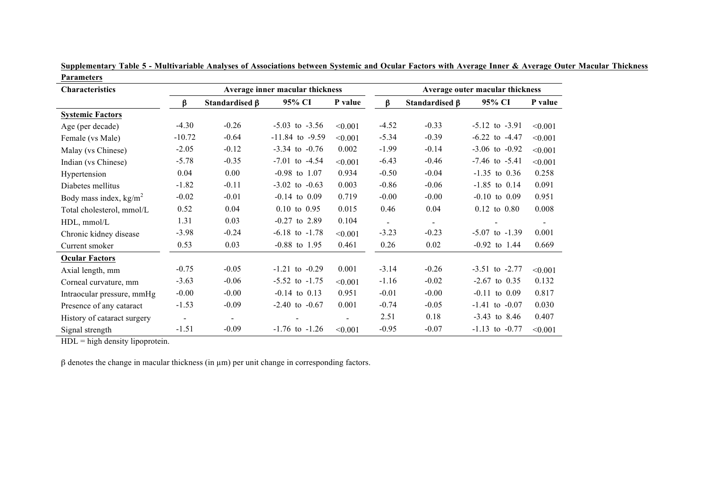| Characteristics             |                |                      | Average inner macular thickness |         | Average outer macular thickness |                      |                    |                |  |  |
|-----------------------------|----------------|----------------------|---------------------------------|---------|---------------------------------|----------------------|--------------------|----------------|--|--|
|                             | β              | Standardised $\beta$ | 95% CI                          | P value | β                               | Standardised $\beta$ | 95% CI             | P value        |  |  |
| <b>Systemic Factors</b>     |                |                      |                                 |         |                                 |                      |                    |                |  |  |
| Age (per decade)            | $-4.30$        | $-0.26$              | $-5.03$ to $-3.56$              | < 0.001 | $-4.52$                         | $-0.33$              | $-5.12$ to $-3.91$ | < 0.001        |  |  |
| Female (vs Male)            | $-10.72$       | $-0.64$              | $-11.84$ to $-9.59$             | < 0.001 | $-5.34$                         | $-0.39$              | $-6.22$ to $-4.47$ | < 0.001        |  |  |
| Malay (vs Chinese)          | $-2.05$        | $-0.12$              | $-3.34$ to $-0.76$              | 0.002   | $-1.99$                         | $-0.14$              | $-3.06$ to $-0.92$ | < 0.001        |  |  |
| Indian (vs Chinese)         | $-5.78$        | $-0.35$              | $-7.01$ to $-4.54$              | < 0.001 | $-6.43$                         | $-0.46$              | $-7.46$ to $-5.41$ | < 0.001        |  |  |
| Hypertension                | 0.04           | 0.00                 | $-0.98$ to $1.07$               | 0.934   | $-0.50$                         | $-0.04$              | $-1.35$ to 0.36    | 0.258          |  |  |
| Diabetes mellitus           | $-1.82$        | $-0.11$              | $-3.02$ to $-0.63$              | 0.003   | $-0.86$                         | $-0.06$              | $-1.85$ to $0.14$  | 0.091          |  |  |
| Body mass index, $kg/m2$    | $-0.02$        | $-0.01$              | $-0.14$ to $0.09$               | 0.719   | $-0.00$                         | $-0.00$              | $-0.10$ to $0.09$  | 0.951          |  |  |
| Total cholesterol, mmol/L   | 0.52           | 0.04                 | $0.10$ to $0.95$                | 0.015   | 0.46                            | 0.04                 | $0.12$ to $0.80$   | 0.008          |  |  |
| HDL, mmol/L                 | 1.31           | 0.03                 | $-0.27$ to 2.89                 | 0.104   | $\blacksquare$                  |                      |                    | $\blacksquare$ |  |  |
| Chronic kidney disease      | $-3.98$        | $-0.24$              | $-6.18$ to $-1.78$              | < 0.001 | $-3.23$                         | $-0.23$              | $-5.07$ to $-1.39$ | 0.001          |  |  |
| Current smoker              | 0.53           | 0.03                 | $-0.88$ to 1.95                 | 0.461   | 0.26                            | 0.02                 | $-0.92$ to 1.44    | 0.669          |  |  |
| <b>Ocular Factors</b>       |                |                      |                                 |         |                                 |                      |                    |                |  |  |
| Axial length, mm            | $-0.75$        | $-0.05$              | $-1.21$ to $-0.29$              | 0.001   | $-3.14$                         | $-0.26$              | $-3.51$ to $-2.77$ | < 0.001        |  |  |
| Corneal curvature, mm       | $-3.63$        | $-0.06$              | $-5.52$ to $-1.75$              | < 0.001 | $-1.16$                         | $-0.02$              | $-2.67$ to 0.35    | 0.132          |  |  |
| Intraocular pressure, mmHg  | $-0.00$        | $-0.00$              | $-0.14$ to $0.13$               | 0.951   | $-0.01$                         | $-0.00$              | $-0.11$ to $0.09$  | 0.817          |  |  |
| Presence of any cataract    | $-1.53$        | $-0.09$              | $-2.40$ to $-0.67$              | 0.001   | $-0.74$                         | $-0.05$              | $-1.41$ to $-0.07$ | 0.030          |  |  |
| History of cataract surgery | $\blacksquare$ |                      |                                 |         | 2.51                            | 0.18                 | $-3.43$ to 8.46    | 0.407          |  |  |
| Signal strength             | $-1.51$        | $-0.09$              | $-1.76$ to $-1.26$              | < 0.001 | $-0.95$                         | $-0.07$              | $-1.13$ to $-0.77$ | < 0.001        |  |  |

**Supplementary Table 5 - Multivariable Analyses of Associations between Systemic and Ocular Factors with Average Inner & Average Outer Macular Thickness Parameters**

 $HDL = high density lipoprotein.$ 

β denotes the change in macular thickness (in µm) per unit change in corresponding factors.